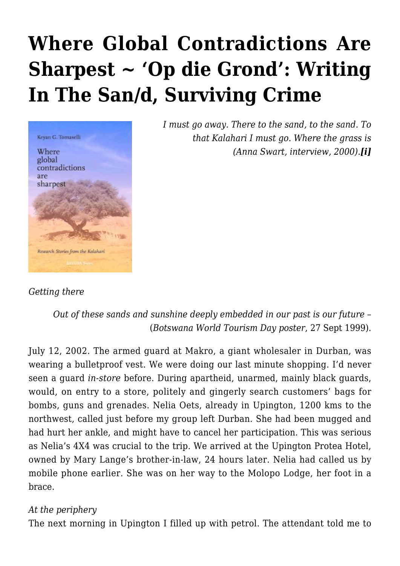# **[Where Global Contradictions Are](https://rozenbergquarterly.com/where-global-contradictions-are-sharpest-op-die-grond-writing-in-the-sand-surviving-crime/) [Sharpest ~ 'Op die Grond': Writing](https://rozenbergquarterly.com/where-global-contradictions-are-sharpest-op-die-grond-writing-in-the-sand-surviving-crime/) [In The San/d, Surviving Crime](https://rozenbergquarterly.com/where-global-contradictions-are-sharpest-op-die-grond-writing-in-the-sand-surviving-crime/)**



*I must go away. There to the sand, to the sand. To that Kalahari I must go. Where the grass is (Anna Swart, interview, 2000).[i]*

## *Getting there*

# *Out of these sands and sunshine deeply embedded in our past is our future –* (*Botswana World Tourism Day poster*, 27 Sept 1999).

July 12, 2002. The armed guard at Makro, a giant wholesaler in Durban, was wearing a bulletproof vest. We were doing our last minute shopping. I'd never seen a guard *in-store* before. During apartheid, unarmed, mainly black guards, would, on entry to a store, politely and gingerly search customers' bags for bombs, guns and grenades. Nelia Oets, already in Upington, 1200 kms to the northwest, called just before my group left Durban. She had been mugged and had hurt her ankle, and might have to cancel her participation. This was serious as Nelia's 4X4 was crucial to the trip. We arrived at the Upington Protea Hotel, owned by Mary Lange's brother-in-law, 24 hours later. Nelia had called us by mobile phone earlier. She was on her way to the Molopo Lodge, her foot in a brace.

## *At the periphery*

The next morning in Upington I filled up with petrol. The attendant told me to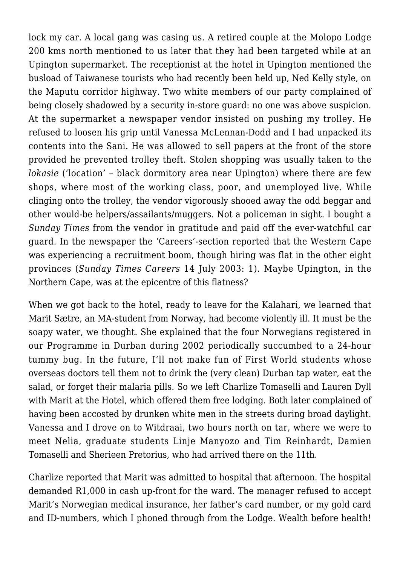lock my car. A local gang was casing us. A retired couple at the Molopo Lodge 200 kms north mentioned to us later that they had been targeted while at an Upington supermarket. The receptionist at the hotel in Upington mentioned the busload of Taiwanese tourists who had recently been held up, Ned Kelly style, on the Maputu corridor highway. Two white members of our party complained of being closely shadowed by a security in-store guard: no one was above suspicion. At the supermarket a newspaper vendor insisted on pushing my trolley. He refused to loosen his grip until Vanessa McLennan-Dodd and I had unpacked its contents into the Sani. He was allowed to sell papers at the front of the store provided he prevented trolley theft. Stolen shopping was usually taken to the *lokasie* ('location' - black dormitory area near Upington) where there are few shops, where most of the working class, poor, and unemployed live. While clinging onto the trolley, the vendor vigorously shooed away the odd beggar and other would-be helpers/assailants/muggers. Not a policeman in sight. I bought a *Sunday Times* from the vendor in gratitude and paid off the ever-watchful car guard. In the newspaper the 'Careers'-section reported that the Western Cape was experiencing a recruitment boom, though hiring was flat in the other eight provinces (*Sunday Times Careers* 14 July 2003: 1). Maybe Upington, in the Northern Cape, was at the epicentre of this flatness?

When we got back to the hotel, ready to leave for the Kalahari, we learned that Marit Sætre, an MA-student from Norway, had become violently ill. It must be the soapy water, we thought. She explained that the four Norwegians registered in our Programme in Durban during 2002 periodically succumbed to a 24-hour tummy bug. In the future, I'll not make fun of First World students whose overseas doctors tell them not to drink the (very clean) Durban tap water, eat the salad, or forget their malaria pills. So we left Charlize Tomaselli and Lauren Dyll with Marit at the Hotel, which offered them free lodging. Both later complained of having been accosted by drunken white men in the streets during broad daylight. Vanessa and I drove on to Witdraai, two hours north on tar, where we were to meet Nelia, graduate students Linje Manyozo and Tim Reinhardt, Damien Tomaselli and Sherieen Pretorius, who had arrived there on the 11th.

Charlize reported that Marit was admitted to hospital that afternoon. The hospital demanded R1,000 in cash up-front for the ward. The manager refused to accept Marit's Norwegian medical insurance, her father's card number, or my gold card and ID-numbers, which I phoned through from the Lodge. Wealth before health!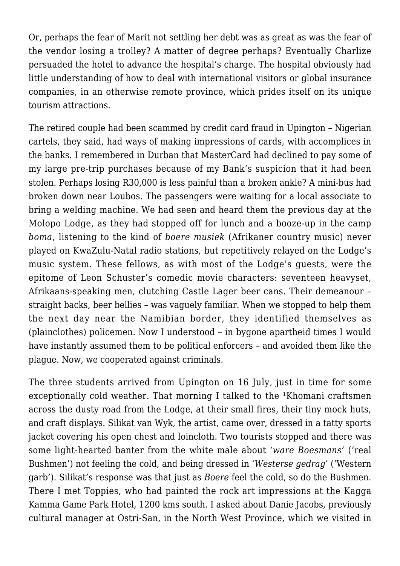Or, perhaps the fear of Marit not settling her debt was as great as was the fear of the vendor losing a trolley? A matter of degree perhaps? Eventually Charlize persuaded the hotel to advance the hospital's charge. The hospital obviously had little understanding of how to deal with international visitors or global insurance companies, in an otherwise remote province, which prides itself on its unique tourism attractions.

The retired couple had been scammed by credit card fraud in Upington – Nigerian cartels, they said, had ways of making impressions of cards, with accomplices in the banks. I remembered in Durban that MasterCard had declined to pay some of my large pre-trip purchases because of my Bank's suspicion that it had been stolen. Perhaps losing R30,000 is less painful than a broken ankle? A mini-bus had broken down near Loubos. The passengers were waiting for a local associate to bring a welding machine. We had seen and heard them the previous day at the Molopo Lodge, as they had stopped off for lunch and a booze-up in the camp *boma*, listening to the kind of *boere musiek* (Afrikaner country music) never played on KwaZulu-Natal radio stations, but repetitively relayed on the Lodge's music system. These fellows, as with most of the Lodge's guests, were the epitome of Leon Schuster's comedic movie characters: seventeen heavyset, Afrikaans-speaking men, clutching Castle Lager beer cans. Their demeanour – straight backs, beer bellies – was vaguely familiar. When we stopped to help them the next day near the Namibian border, they identified themselves as (plainclothes) policemen. Now I understood – in bygone apartheid times I would have instantly assumed them to be political enforcers – and avoided them like the plague. Now, we cooperated against criminals.

The three students arrived from Upington on 16 July, just in time for some exceptionally cold weather. That morning I talked to the <sup>1</sup>Khomani craftsmen across the dusty road from the Lodge, at their small fires, their tiny mock huts, and craft displays. Silikat van Wyk, the artist, came over, dressed in a tatty sports jacket covering his open chest and loincloth. Two tourists stopped and there was some light-hearted banter from the white male about *'ware Boesmans'* ('real Bushmen') not feeling the cold, and being dressed in *'Westerse gedrag'* ('Western garb'). Silikat's response was that just as *Boere* feel the cold, so do the Bushmen. There I met Toppies, who had painted the rock art impressions at the Kagga Kamma Game Park Hotel, 1200 kms south. I asked about Danie Jacobs, previously cultural manager at Ostri-San, in the North West Province, which we visited in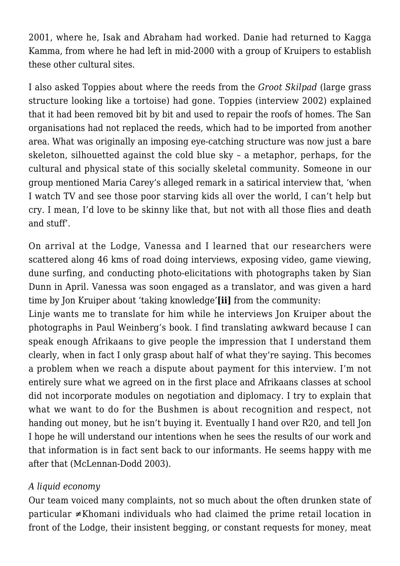2001, where he, Isak and Abraham had worked. Danie had returned to Kagga Kamma, from where he had left in mid-2000 with a group of Kruipers to establish these other cultural sites.

I also asked Toppies about where the reeds from the *Groot Skilpad* (large grass structure looking like a tortoise) had gone. Toppies (interview 2002) explained that it had been removed bit by bit and used to repair the roofs of homes. The San organisations had not replaced the reeds, which had to be imported from another area. What was originally an imposing eye-catching structure was now just a bare skeleton, silhouetted against the cold blue sky – a metaphor, perhaps, for the cultural and physical state of this socially skeletal community. Someone in our group mentioned Maria Carey's alleged remark in a satirical interview that, 'when I watch TV and see those poor starving kids all over the world, I can't help but cry. I mean, I'd love to be skinny like that, but not with all those flies and death and stuff'.

On arrival at the Lodge, Vanessa and I learned that our researchers were scattered along 46 kms of road doing interviews, exposing video, game viewing, dune surfing, and conducting photo-elicitations with photographs taken by Sian Dunn in April. Vanessa was soon engaged as a translator, and was given a hard time by Jon Kruiper about 'taking knowledge'**[ii]** from the community:

Linje wants me to translate for him while he interviews Jon Kruiper about the photographs in Paul Weinberg's book. I find translating awkward because I can speak enough Afrikaans to give people the impression that I understand them clearly, when in fact I only grasp about half of what they're saying. This becomes a problem when we reach a dispute about payment for this interview. I'm not entirely sure what we agreed on in the first place and Afrikaans classes at school did not incorporate modules on negotiation and diplomacy. I try to explain that what we want to do for the Bushmen is about recognition and respect, not handing out money, but he isn't buying it. Eventually I hand over R20, and tell Jon I hope he will understand our intentions when he sees the results of our work and that information is in fact sent back to our informants. He seems happy with me after that (McLennan-Dodd 2003).

# *A liquid economy*

Our team voiced many complaints, not so much about the often drunken state of particular ≠Khomani individuals who had claimed the prime retail location in front of the Lodge, their insistent begging, or constant requests for money, meat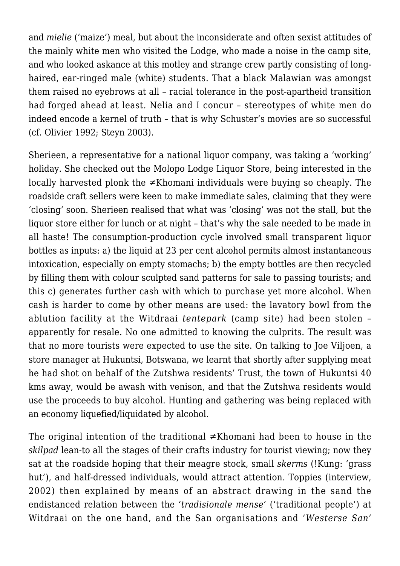and *mielie* ('maize') meal, but about the inconsiderate and often sexist attitudes of the mainly white men who visited the Lodge, who made a noise in the camp site, and who looked askance at this motley and strange crew partly consisting of longhaired, ear-ringed male (white) students. That a black Malawian was amongst them raised no eyebrows at all – racial tolerance in the post-apartheid transition had forged ahead at least. Nelia and I concur – stereotypes of white men do indeed encode a kernel of truth – that is why Schuster's movies are so successful (cf. Olivier 1992; Steyn 2003).

Sherieen, a representative for a national liquor company, was taking a 'working' holiday. She checked out the Molopo Lodge Liquor Store, being interested in the locally harvested plonk the ≠Khomani individuals were buying so cheaply. The roadside craft sellers were keen to make immediate sales, claiming that they were 'closing' soon. Sherieen realised that what was 'closing' was not the stall, but the liquor store either for lunch or at night – that's why the sale needed to be made in all haste! The consumption-production cycle involved small transparent liquor bottles as inputs: a) the liquid at 23 per cent alcohol permits almost instantaneous intoxication, especially on empty stomachs; b) the empty bottles are then recycled by filling them with colour sculpted sand patterns for sale to passing tourists; and this c) generates further cash with which to purchase yet more alcohol. When cash is harder to come by other means are used: the lavatory bowl from the ablution facility at the Witdraai *tentepark* (camp site) had been stolen – apparently for resale. No one admitted to knowing the culprits. The result was that no more tourists were expected to use the site. On talking to Joe Viljoen, a store manager at Hukuntsi, Botswana, we learnt that shortly after supplying meat he had shot on behalf of the Zutshwa residents' Trust, the town of Hukuntsi 40 kms away, would be awash with venison, and that the Zutshwa residents would use the proceeds to buy alcohol. Hunting and gathering was being replaced with an economy liquefied/liquidated by alcohol.

The original intention of the traditional ≠Khomani had been to house in the *skilpad* lean-to all the stages of their crafts industry for tourist viewing; now they sat at the roadside hoping that their meagre stock, small *skerms* (!Kung: 'grass hut'), and half-dressed individuals, would attract attention. Toppies (interview, 2002) then explained by means of an abstract drawing in the sand the endistanced relation between the *'tradisionale mense'* ('traditional people') at Witdraai on the one hand, and the San organisations and *'Westerse San'*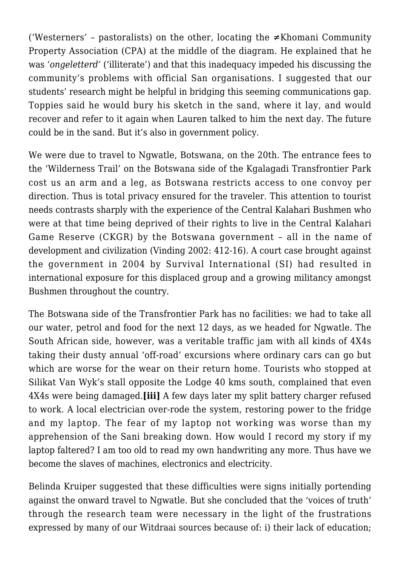('Westerners' – pastoralists) on the other, locating the ≠Khomani Community Property Association (CPA) at the middle of the diagram. He explained that he was *'ongeletterd'* ('illiterate') and that this inadequacy impeded his discussing the community's problems with official San organisations. I suggested that our students' research might be helpful in bridging this seeming communications gap. Toppies said he would bury his sketch in the sand, where it lay, and would recover and refer to it again when Lauren talked to him the next day. The future could be in the sand. But it's also in government policy.

We were due to travel to Ngwatle, Botswana, on the 20th. The entrance fees to the 'Wilderness Trail' on the Botswana side of the Kgalagadi Transfrontier Park cost us an arm and a leg, as Botswana restricts access to one convoy per direction. Thus is total privacy ensured for the traveler. This attention to tourist needs contrasts sharply with the experience of the Central Kalahari Bushmen who were at that time being deprived of their rights to live in the Central Kalahari Game Reserve (CKGR) by the Botswana government – all in the name of development and civilization (Vinding 2002: 412-16). A court case brought against the government in 2004 by Survival International (SI) had resulted in international exposure for this displaced group and a growing militancy amongst Bushmen throughout the country.

The Botswana side of the Transfrontier Park has no facilities: we had to take all our water, petrol and food for the next 12 days, as we headed for Ngwatle. The South African side, however, was a veritable traffic jam with all kinds of 4X4s taking their dusty annual 'off-road' excursions where ordinary cars can go but which are worse for the wear on their return home. Tourists who stopped at Silikat Van Wyk's stall opposite the Lodge 40 kms south, complained that even 4X4s were being damaged.**[iii]** A few days later my split battery charger refused to work. A local electrician over-rode the system, restoring power to the fridge and my laptop. The fear of my laptop not working was worse than my apprehension of the Sani breaking down. How would I record my story if my laptop faltered? I am too old to read my own handwriting any more. Thus have we become the slaves of machines, electronics and electricity.

Belinda Kruiper suggested that these difficulties were signs initially portending against the onward travel to Ngwatle. But she concluded that the 'voices of truth' through the research team were necessary in the light of the frustrations expressed by many of our Witdraai sources because of: i) their lack of education;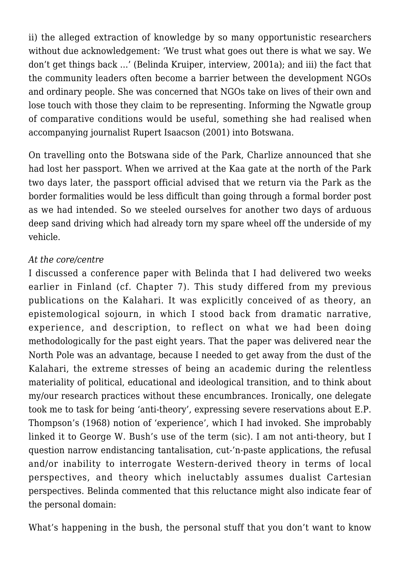ii) the alleged extraction of knowledge by so many opportunistic researchers without due acknowledgement: 'We trust what goes out there is what we say. We don't get things back …' (Belinda Kruiper, interview, 2001a); and iii) the fact that the community leaders often become a barrier between the development NGOs and ordinary people. She was concerned that NGOs take on lives of their own and lose touch with those they claim to be representing. Informing the Ngwatle group of comparative conditions would be useful, something she had realised when accompanying journalist Rupert Isaacson (2001) into Botswana.

On travelling onto the Botswana side of the Park, Charlize announced that she had lost her passport. When we arrived at the Kaa gate at the north of the Park two days later, the passport official advised that we return via the Park as the border formalities would be less difficult than going through a formal border post as we had intended. So we steeled ourselves for another two days of arduous deep sand driving which had already torn my spare wheel off the underside of my vehicle.

# *At the core/centre*

I discussed a conference paper with Belinda that I had delivered two weeks earlier in Finland (cf. Chapter 7). This study differed from my previous publications on the Kalahari. It was explicitly conceived of as theory, an epistemological sojourn, in which I stood back from dramatic narrative, experience, and description, to reflect on what we had been doing methodologically for the past eight years. That the paper was delivered near the North Pole was an advantage, because I needed to get away from the dust of the Kalahari, the extreme stresses of being an academic during the relentless materiality of political, educational and ideological transition, and to think about my/our research practices without these encumbrances. Ironically, one delegate took me to task for being 'anti-theory', expressing severe reservations about E.P. Thompson's (1968) notion of 'experience', which I had invoked. She improbably linked it to George W. Bush's use of the term (sic). I am not anti-theory, but I question narrow endistancing tantalisation, cut-'n-paste applications, the refusal and/or inability to interrogate Western-derived theory in terms of local perspectives, and theory which ineluctably assumes dualist Cartesian perspectives. Belinda commented that this reluctance might also indicate fear of the personal domain:

What's happening in the bush, the personal stuff that you don't want to know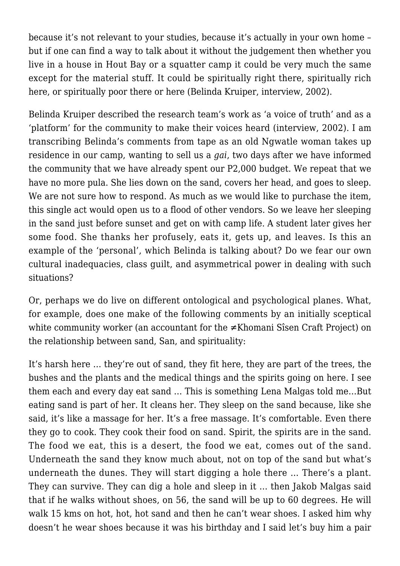because it's not relevant to your studies, because it's actually in your own home – but if one can find a way to talk about it without the judgement then whether you live in a house in Hout Bay or a squatter camp it could be very much the same except for the material stuff. It could be spiritually right there, spiritually rich here, or spiritually poor there or here (Belinda Kruiper, interview, 2002).

Belinda Kruiper described the research team's work as 'a voice of truth' and as a 'platform' for the community to make their voices heard (interview, 2002). I am transcribing Belinda's comments from tape as an old Ngwatle woman takes up residence in our camp, wanting to sell us a *gai*, two days after we have informed the community that we have already spent our P2,000 budget. We repeat that we have no more pula. She lies down on the sand, covers her head, and goes to sleep. We are not sure how to respond. As much as we would like to purchase the item, this single act would open us to a flood of other vendors. So we leave her sleeping in the sand just before sunset and get on with camp life. A student later gives her some food. She thanks her profusely, eats it, gets up, and leaves. Is this an example of the 'personal', which Belinda is talking about? Do we fear our own cultural inadequacies, class guilt, and asymmetrical power in dealing with such situations?

Or, perhaps we do live on different ontological and psychological planes. What, for example, does one make of the following comments by an initially sceptical white community worker (an accountant for the ≠Khomani Sîsen Craft Project) on the relationship between sand, San, and spirituality:

It's harsh here … they're out of sand, they fit here, they are part of the trees, the bushes and the plants and the medical things and the spirits going on here. I see them each and every day eat sand … This is something Lena Malgas told me…But eating sand is part of her. It cleans her. They sleep on the sand because, like she said, it's like a massage for her. It's a free massage. It's comfortable. Even there they go to cook. They cook their food on sand. Spirit, the spirits are in the sand. The food we eat, this is a desert, the food we eat, comes out of the sand. Underneath the sand they know much about, not on top of the sand but what's underneath the dunes. They will start digging a hole there … There's a plant. They can survive. They can dig a hole and sleep in it … then Jakob Malgas said that if he walks without shoes, on 56, the sand will be up to 60 degrees. He will walk 15 kms on hot, hot, hot sand and then he can't wear shoes. I asked him why doesn't he wear shoes because it was his birthday and I said let's buy him a pair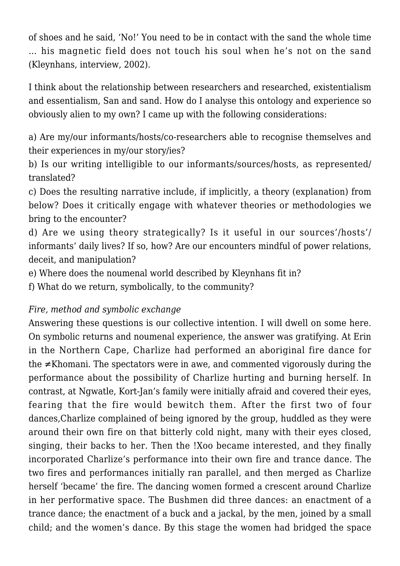of shoes and he said, 'No!' You need to be in contact with the sand the whole time … his magnetic field does not touch his soul when he's not on the sand (Kleynhans, interview, 2002).

I think about the relationship between researchers and researched, existentialism and essentialism, San and sand. How do I analyse this ontology and experience so obviously alien to my own? I came up with the following considerations:

a) Are my/our informants/hosts/co-researchers able to recognise themselves and their experiences in my/our story/ies?

b) Is our writing intelligible to our informants/sources/hosts, as represented/ translated?

c) Does the resulting narrative include, if implicitly, a theory (explanation) from below? Does it critically engage with whatever theories or methodologies we bring to the encounter?

d) Are we using theory strategically? Is it useful in our sources'/hosts'/ informants' daily lives? If so, how? Are our encounters mindful of power relations, deceit, and manipulation?

e) Where does the noumenal world described by Kleynhans fit in?

f) What do we return, symbolically, to the community?

# *Fire, method and symbolic exchange*

Answering these questions is our collective intention. I will dwell on some here. On symbolic returns and noumenal experience, the answer was gratifying. At Erin in the Northern Cape, Charlize had performed an aboriginal fire dance for the ≠Khomani. The spectators were in awe, and commented vigorously during the performance about the possibility of Charlize hurting and burning herself. In contrast, at Ngwatle, Kort-Jan's family were initially afraid and covered their eyes, fearing that the fire would bewitch them. After the first two of four dances,Charlize complained of being ignored by the group, huddled as they were around their own fire on that bitterly cold night, many with their eyes closed, singing, their backs to her. Then the !Xoo became interested, and they finally incorporated Charlize's performance into their own fire and trance dance. The two fires and performances initially ran parallel, and then merged as Charlize herself 'became' the fire. The dancing women formed a crescent around Charlize in her performative space. The Bushmen did three dances: an enactment of a trance dance; the enactment of a buck and a jackal, by the men, joined by a small child; and the women's dance. By this stage the women had bridged the space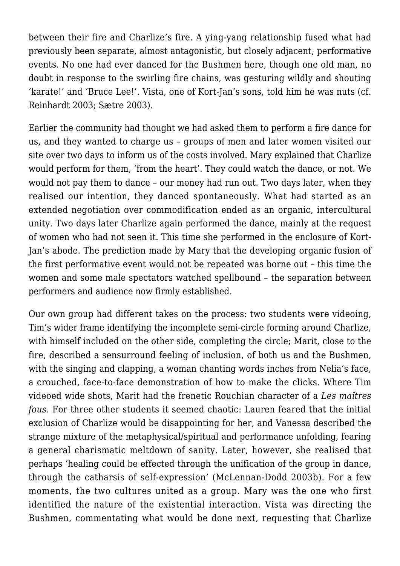between their fire and Charlize's fire. A ying-yang relationship fused what had previously been separate, almost antagonistic, but closely adjacent, performative events. No one had ever danced for the Bushmen here, though one old man, no doubt in response to the swirling fire chains, was gesturing wildly and shouting 'karate!' and 'Bruce Lee!'. Vista, one of Kort-Jan's sons, told him he was nuts (cf. Reinhardt 2003; Sætre 2003).

Earlier the community had thought we had asked them to perform a fire dance for us, and they wanted to charge us – groups of men and later women visited our site over two days to inform us of the costs involved. Mary explained that Charlize would perform for them, 'from the heart'. They could watch the dance, or not. We would not pay them to dance – our money had run out. Two days later, when they realised our intention, they danced spontaneously. What had started as an extended negotiation over commodification ended as an organic, intercultural unity. Two days later Charlize again performed the dance, mainly at the request of women who had not seen it. This time she performed in the enclosure of Kort-Jan's abode. The prediction made by Mary that the developing organic fusion of the first performative event would not be repeated was borne out – this time the women and some male spectators watched spellbound – the separation between performers and audience now firmly established.

Our own group had different takes on the process: two students were videoing, Tim's wider frame identifying the incomplete semi-circle forming around Charlize, with himself included on the other side, completing the circle; Marit, close to the fire, described a sensurround feeling of inclusion, of both us and the Bushmen, with the singing and clapping, a woman chanting words inches from Nelia's face, a crouched, face-to-face demonstration of how to make the clicks. Where Tim videoed wide shots, Marit had the frenetic Rouchian character of a *Les maîtres fous*. For three other students it seemed chaotic: Lauren feared that the initial exclusion of Charlize would be disappointing for her, and Vanessa described the strange mixture of the metaphysical/spiritual and performance unfolding, fearing a general charismatic meltdown of sanity. Later, however, she realised that perhaps 'healing could be effected through the unification of the group in dance, through the catharsis of self-expression' (McLennan-Dodd 2003b). For a few moments, the two cultures united as a group. Mary was the one who first identified the nature of the existential interaction. Vista was directing the Bushmen, commentating what would be done next, requesting that Charlize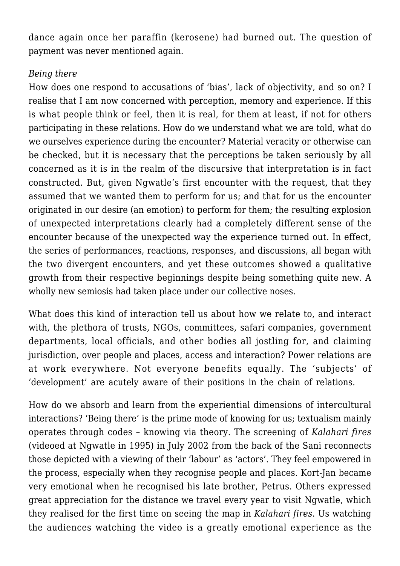dance again once her paraffin (kerosene) had burned out. The question of payment was never mentioned again.

## *Being there*

How does one respond to accusations of 'bias', lack of objectivity, and so on? I realise that I am now concerned with perception, memory and experience. If this is what people think or feel, then it is real, for them at least, if not for others participating in these relations. How do we understand what we are told, what do we ourselves experience during the encounter? Material veracity or otherwise can be checked, but it is necessary that the perceptions be taken seriously by all concerned as it is in the realm of the discursive that interpretation is in fact constructed. But, given Ngwatle's first encounter with the request, that they assumed that we wanted them to perform for us; and that for us the encounter originated in our desire (an emotion) to perform for them; the resulting explosion of unexpected interpretations clearly had a completely different sense of the encounter because of the unexpected way the experience turned out. In effect, the series of performances, reactions, responses, and discussions, all began with the two divergent encounters, and yet these outcomes showed a qualitative growth from their respective beginnings despite being something quite new. A wholly new semiosis had taken place under our collective noses.

What does this kind of interaction tell us about how we relate to, and interact with, the plethora of trusts, NGOs, committees, safari companies, government departments, local officials, and other bodies all jostling for, and claiming jurisdiction, over people and places, access and interaction? Power relations are at work everywhere. Not everyone benefits equally. The 'subjects' of 'development' are acutely aware of their positions in the chain of relations.

How do we absorb and learn from the experiential dimensions of intercultural interactions? 'Being there' is the prime mode of knowing for us; textualism mainly operates through codes – knowing via theory. The screening of *Kalahari fires* (videoed at Ngwatle in 1995) in July 2002 from the back of the Sani reconnects those depicted with a viewing of their 'labour' as 'actors'. They feel empowered in the process, especially when they recognise people and places. Kort-Jan became very emotional when he recognised his late brother, Petrus. Others expressed great appreciation for the distance we travel every year to visit Ngwatle, which they realised for the first time on seeing the map in *Kalahari fires*. Us watching the audiences watching the video is a greatly emotional experience as the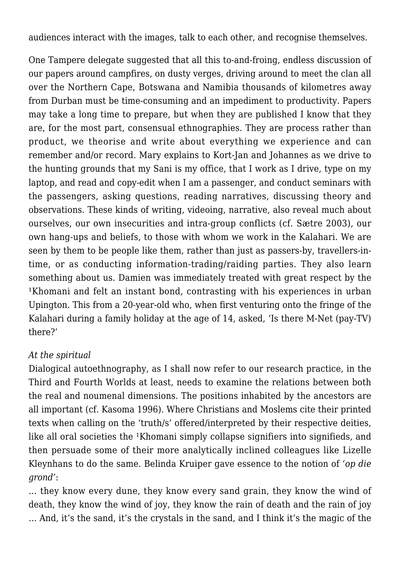audiences interact with the images, talk to each other, and recognise themselves.

One Tampere delegate suggested that all this to-and-froing, endless discussion of our papers around campfires, on dusty verges, driving around to meet the clan all over the Northern Cape, Botswana and Namibia thousands of kilometres away from Durban must be time-consuming and an impediment to productivity. Papers may take a long time to prepare, but when they are published I know that they are, for the most part, consensual ethnographies. They are process rather than product, we theorise and write about everything we experience and can remember and/or record. Mary explains to Kort-Jan and Johannes as we drive to the hunting grounds that my Sani is my office, that I work as I drive, type on my laptop, and read and copy-edit when I am a passenger, and conduct seminars with the passengers, asking questions, reading narratives, discussing theory and observations. These kinds of writing, videoing, narrative, also reveal much about ourselves, our own insecurities and intra-group conflicts (cf. Sætre 2003), our own hang-ups and beliefs, to those with whom we work in the Kalahari. We are seen by them to be people like them, rather than just as passers-by, travellers-intime, or as conducting information-trading/raiding parties. They also learn something about us. Damien was immediately treated with great respect by the <sup>1</sup>Khomani and felt an instant bond, contrasting with his experiences in urban Upington. This from a 20-year-old who, when first venturing onto the fringe of the Kalahari during a family holiday at the age of 14, asked, 'Is there M-Net (pay-TV) there?'

## *At the spiritual*

Dialogical autoethnography, as I shall now refer to our research practice, in the Third and Fourth Worlds at least, needs to examine the relations between both the real and noumenal dimensions. The positions inhabited by the ancestors are all important (cf. Kasoma 1996). Where Christians and Moslems cite their printed texts when calling on the 'truth/s' offered/interpreted by their respective deities, like all oral societies the <sup>1</sup>Khomani simply collapse signifiers into signifieds, and then persuade some of their more analytically inclined colleagues like Lizelle Kleynhans to do the same. Belinda Kruiper gave essence to the notion of *'op die grond'*:

… they know every dune, they know every sand grain, they know the wind of death, they know the wind of joy, they know the rain of death and the rain of joy … And, it's the sand, it's the crystals in the sand, and I think it's the magic of the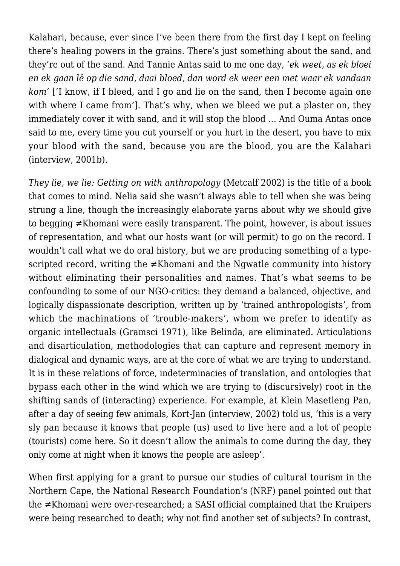Kalahari, because, ever since I've been there from the first day I kept on feeling there's healing powers in the grains. There's just something about the sand, and they're out of the sand. And Tannie Antas said to me one day, *'ek weet, as ek bloei en ek gaan lê op die sand, daai bloed, dan word ek weer een met waar ek vandaan kom'* ['I know, if I bleed, and I go and lie on the sand, then I become again one with where I came from']. That's why, when we bleed we put a plaster on, they immediately cover it with sand, and it will stop the blood … And Ouma Antas once said to me, every time you cut yourself or you hurt in the desert, you have to mix your blood with the sand, because you are the blood, you are the Kalahari (interview, 2001b).

*They lie, we lie: Getting on with anthropology* (Metcalf 2002) is the title of a book that comes to mind. Nelia said she wasn't always able to tell when she was being strung a line, though the increasingly elaborate yarns about why we should give to begging ≠Khomani were easily transparent. The point, however, is about issues of representation, and what our hosts want (or will permit) to go on the record. I wouldn't call what we do oral history, but we are producing something of a typescripted record, writing the ≠Khomani and the Ngwatle community into history without eliminating their personalities and names. That's what seems to be confounding to some of our NGO-critics: they demand a balanced, objective, and logically dispassionate description, written up by 'trained anthropologists', from which the machinations of 'trouble-makers', whom we prefer to identify as organic intellectuals (Gramsci 1971), like Belinda, are eliminated. Articulations and disarticulation, methodologies that can capture and represent memory in dialogical and dynamic ways, are at the core of what we are trying to understand. It is in these relations of force, indeterminacies of translation, and ontologies that bypass each other in the wind which we are trying to (discursively) root in the shifting sands of (interacting) experience. For example, at Klein Masetleng Pan, after a day of seeing few animals, Kort-Jan (interview, 2002) told us, 'this is a very sly pan because it knows that people (us) used to live here and a lot of people (tourists) come here. So it doesn't allow the animals to come during the day, they only come at night when it knows the people are asleep'.

When first applying for a grant to pursue our studies of cultural tourism in the Northern Cape, the National Research Foundation's (NRF) panel pointed out that the ≠Khomani were over-researched; a SASI official complained that the Kruipers were being researched to death; why not find another set of subjects? In contrast,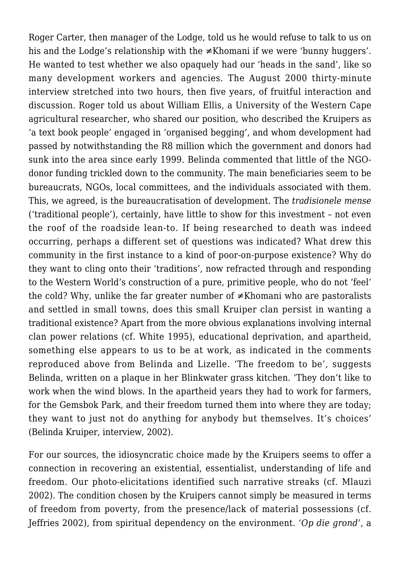Roger Carter, then manager of the Lodge, told us he would refuse to talk to us on his and the Lodge's relationship with the ≠Khomani if we were 'bunny huggers'. He wanted to test whether we also opaquely had our 'heads in the sand', like so many development workers and agencies. The August 2000 thirty-minute interview stretched into two hours, then five years, of fruitful interaction and discussion. Roger told us about William Ellis, a University of the Western Cape agricultural researcher, who shared our position, who described the Kruipers as 'a text book people' engaged in 'organised begging', and whom development had passed by notwithstanding the R8 million which the government and donors had sunk into the area since early 1999. Belinda commented that little of the NGOdonor funding trickled down to the community. The main beneficiaries seem to be bureaucrats, NGOs, local committees, and the individuals associated with them. This, we agreed, is the bureaucratisation of development. The *tradisionele mense* ('traditional people'), certainly, have little to show for this investment – not even the roof of the roadside lean-to. If being researched to death was indeed occurring, perhaps a different set of questions was indicated? What drew this community in the first instance to a kind of poor-on-purpose existence? Why do they want to cling onto their 'traditions', now refracted through and responding to the Western World's construction of a pure, primitive people, who do not 'feel' the cold? Why, unlike the far greater number of ≠Khomani who are pastoralists and settled in small towns, does this small Kruiper clan persist in wanting a traditional existence? Apart from the more obvious explanations involving internal clan power relations (cf. White 1995), educational deprivation, and apartheid, something else appears to us to be at work, as indicated in the comments reproduced above from Belinda and Lizelle. 'The freedom to be', suggests Belinda, written on a plaque in her Blinkwater grass kitchen. 'They don't like to work when the wind blows. In the apartheid years they had to work for farmers, for the Gemsbok Park, and their freedom turned them into where they are today; they want to just not do anything for anybody but themselves. It's choices' (Belinda Kruiper, interview, 2002).

For our sources, the idiosyncratic choice made by the Kruipers seems to offer a connection in recovering an existential, essentialist, understanding of life and freedom. Our photo-elicitations identified such narrative streaks (cf. Mlauzi 2002). The condition chosen by the Kruipers cannot simply be measured in terms of freedom from poverty, from the presence/lack of material possessions (cf. Jeffries 2002), from spiritual dependency on the environment. *'Op die grond'*, a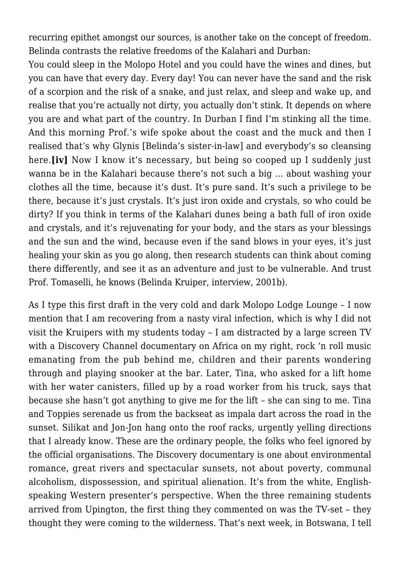recurring epithet amongst our sources, is another take on the concept of freedom. Belinda contrasts the relative freedoms of the Kalahari and Durban:

You could sleep in the Molopo Hotel and you could have the wines and dines, but you can have that every day. Every day! You can never have the sand and the risk of a scorpion and the risk of a snake, and just relax, and sleep and wake up, and realise that you're actually not dirty, you actually don't stink. It depends on where you are and what part of the country. In Durban I find I'm stinking all the time. And this morning Prof.'s wife spoke about the coast and the muck and then I realised that's why Glynis [Belinda's sister-in-law] and everybody's so cleansing here.**[iv]** Now I know it's necessary, but being so cooped up I suddenly just wanna be in the Kalahari because there's not such a big … about washing your clothes all the time, because it's dust. It's pure sand. It's such a privilege to be there, because it's just crystals. It's just iron oxide and crystals, so who could be dirty? If you think in terms of the Kalahari dunes being a bath full of iron oxide and crystals, and it's rejuvenating for your body, and the stars as your blessings and the sun and the wind, because even if the sand blows in your eyes, it's just healing your skin as you go along, then research students can think about coming there differently, and see it as an adventure and just to be vulnerable. And trust Prof. Tomaselli, he knows (Belinda Kruiper, interview, 2001b).

As I type this first draft in the very cold and dark Molopo Lodge Lounge – I now mention that I am recovering from a nasty viral infection, which is why I did not visit the Kruipers with my students today – I am distracted by a large screen TV with a Discovery Channel documentary on Africa on my right, rock 'n roll music emanating from the pub behind me, children and their parents wondering through and playing snooker at the bar. Later, Tina, who asked for a lift home with her water canisters, filled up by a road worker from his truck, says that because she hasn't got anything to give me for the lift – she can sing to me. Tina and Toppies serenade us from the backseat as impala dart across the road in the sunset. Silikat and Jon-Jon hang onto the roof racks, urgently yelling directions that I already know. These are the ordinary people, the folks who feel ignored by the official organisations. The Discovery documentary is one about environmental romance, great rivers and spectacular sunsets, not about poverty, communal alcoholism, dispossession, and spiritual alienation. It's from the white, Englishspeaking Western presenter's perspective. When the three remaining students arrived from Upington, the first thing they commented on was the TV-set – they thought they were coming to the wilderness. That's next week, in Botswana, I tell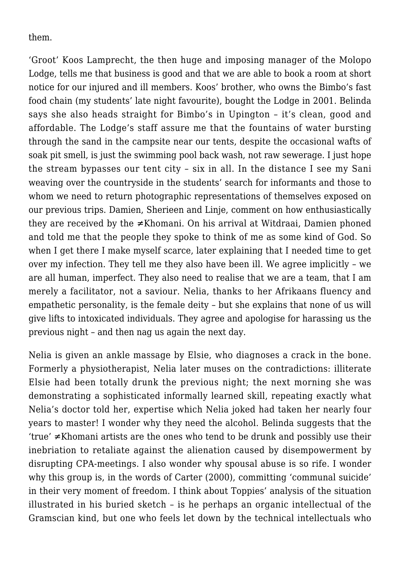them.

'Groot' Koos Lamprecht, the then huge and imposing manager of the Molopo Lodge, tells me that business is good and that we are able to book a room at short notice for our injured and ill members. Koos' brother, who owns the Bimbo's fast food chain (my students' late night favourite), bought the Lodge in 2001. Belinda says she also heads straight for Bimbo's in Upington – it's clean, good and affordable. The Lodge's staff assure me that the fountains of water bursting through the sand in the campsite near our tents, despite the occasional wafts of soak pit smell, is just the swimming pool back wash, not raw sewerage. I just hope the stream bypasses our tent city – six in all. In the distance I see my Sani weaving over the countryside in the students' search for informants and those to whom we need to return photographic representations of themselves exposed on our previous trips. Damien, Sherieen and Linje, comment on how enthusiastically they are received by the ≠Khomani. On his arrival at Witdraai, Damien phoned and told me that the people they spoke to think of me as some kind of God. So when I get there I make myself scarce, later explaining that I needed time to get over my infection. They tell me they also have been ill. We agree implicitly – we are all human, imperfect. They also need to realise that we are a team, that I am merely a facilitator, not a saviour. Nelia, thanks to her Afrikaans fluency and empathetic personality, is the female deity – but she explains that none of us will give lifts to intoxicated individuals. They agree and apologise for harassing us the previous night – and then nag us again the next day.

Nelia is given an ankle massage by Elsie, who diagnoses a crack in the bone. Formerly a physiotherapist, Nelia later muses on the contradictions: illiterate Elsie had been totally drunk the previous night; the next morning she was demonstrating a sophisticated informally learned skill, repeating exactly what Nelia's doctor told her, expertise which Nelia joked had taken her nearly four years to master! I wonder why they need the alcohol. Belinda suggests that the 'true' ≠Khomani artists are the ones who tend to be drunk and possibly use their inebriation to retaliate against the alienation caused by disempowerment by disrupting CPA-meetings. I also wonder why spousal abuse is so rife. I wonder why this group is, in the words of Carter (2000), committing 'communal suicide' in their very moment of freedom. I think about Toppies' analysis of the situation illustrated in his buried sketch – is he perhaps an organic intellectual of the Gramscian kind, but one who feels let down by the technical intellectuals who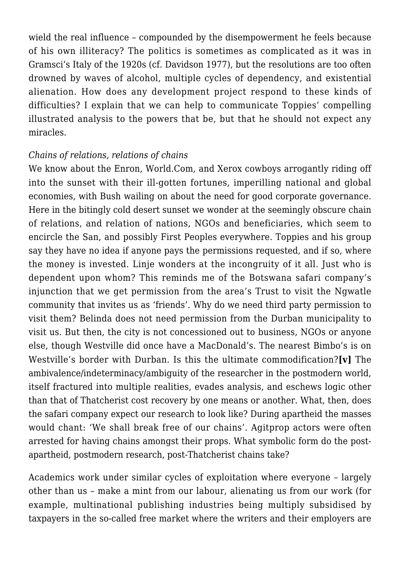wield the real influence – compounded by the disempowerment he feels because of his own illiteracy? The politics is sometimes as complicated as it was in Gramsci's Italy of the 1920s (cf. Davidson 1977), but the resolutions are too often drowned by waves of alcohol, multiple cycles of dependency, and existential alienation. How does any development project respond to these kinds of difficulties? I explain that we can help to communicate Toppies' compelling illustrated analysis to the powers that be, but that he should not expect any miracles.

#### *Chains of relations, relations of chains*

We know about the Enron, World.Com, and Xerox cowboys arrogantly riding off into the sunset with their ill-gotten fortunes, imperilling national and global economies, with Bush wailing on about the need for good corporate governance. Here in the bitingly cold desert sunset we wonder at the seemingly obscure chain of relations, and relation of nations, NGOs and beneficiaries, which seem to encircle the San, and possibly First Peoples everywhere. Toppies and his group say they have no idea if anyone pays the permissions requested, and if so, where the money is invested. Linje wonders at the incongruity of it all. Just who is dependent upon whom? This reminds me of the Botswana safari company's injunction that we get permission from the area's Trust to visit the Ngwatle community that invites us as 'friends'. Why do we need third party permission to visit them? Belinda does not need permission from the Durban municipality to visit us. But then, the city is not concessioned out to business, NGOs or anyone else, though Westville did once have a MacDonald's. The nearest Bimbo's is on Westville's border with Durban. Is this the ultimate commodification?**[v]** The ambivalence/indeterminacy/ambiguity of the researcher in the postmodern world, itself fractured into multiple realities, evades analysis, and eschews logic other than that of Thatcherist cost recovery by one means or another. What, then, does the safari company expect our research to look like? During apartheid the masses would chant: 'We shall break free of our chains'. Agitprop actors were often arrested for having chains amongst their props. What symbolic form do the postapartheid, postmodern research, post-Thatcherist chains take?

Academics work under similar cycles of exploitation where everyone – largely other than us – make a mint from our labour, alienating us from our work (for example, multinational publishing industries being multiply subsidised by taxpayers in the so-called free market where the writers and their employers are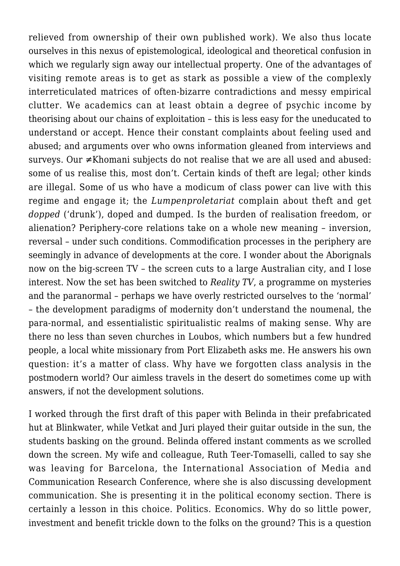relieved from ownership of their own published work). We also thus locate ourselves in this nexus of epistemological, ideological and theoretical confusion in which we regularly sign away our intellectual property. One of the advantages of visiting remote areas is to get as stark as possible a view of the complexly interreticulated matrices of often-bizarre contradictions and messy empirical clutter. We academics can at least obtain a degree of psychic income by theorising about our chains of exploitation – this is less easy for the uneducated to understand or accept. Hence their constant complaints about feeling used and abused; and arguments over who owns information gleaned from interviews and surveys. Our ≠Khomani subjects do not realise that we are all used and abused: some of us realise this, most don't. Certain kinds of theft are legal; other kinds are illegal. Some of us who have a modicum of class power can live with this regime and engage it; the *Lumpenproletariat* complain about theft and get *dopped* ('drunk'), doped and dumped. Is the burden of realisation freedom, or alienation? Periphery-core relations take on a whole new meaning – inversion, reversal – under such conditions. Commodification processes in the periphery are seemingly in advance of developments at the core. I wonder about the Aborignals now on the big-screen TV – the screen cuts to a large Australian city, and I lose interest. Now the set has been switched to *Reality TV*, a programme on mysteries and the paranormal – perhaps we have overly restricted ourselves to the 'normal' – the development paradigms of modernity don't understand the noumenal, the para-normal, and essentialistic spiritualistic realms of making sense. Why are there no less than seven churches in Loubos, which numbers but a few hundred people, a local white missionary from Port Elizabeth asks me. He answers his own question: it's a matter of class. Why have we forgotten class analysis in the postmodern world? Our aimless travels in the desert do sometimes come up with answers, if not the development solutions.

I worked through the first draft of this paper with Belinda in their prefabricated hut at Blinkwater, while Vetkat and Juri played their guitar outside in the sun, the students basking on the ground. Belinda offered instant comments as we scrolled down the screen. My wife and colleague, Ruth Teer-Tomaselli, called to say she was leaving for Barcelona, the International Association of Media and Communication Research Conference, where she is also discussing development communication. She is presenting it in the political economy section. There is certainly a lesson in this choice. Politics. Economics. Why do so little power, investment and benefit trickle down to the folks on the ground? This is a question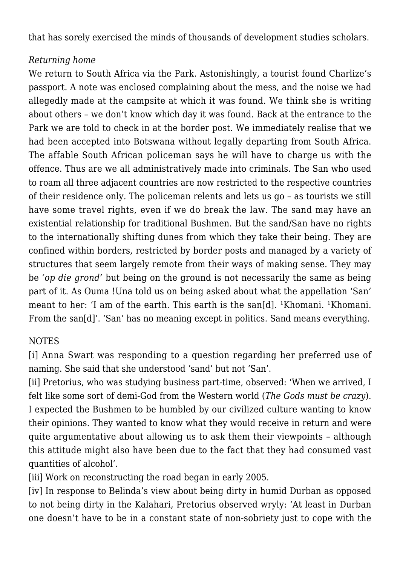that has sorely exercised the minds of thousands of development studies scholars.

## *Returning home*

We return to South Africa via the Park. Astonishingly, a tourist found Charlize's passport. A note was enclosed complaining about the mess, and the noise we had allegedly made at the campsite at which it was found. We think she is writing about others – we don't know which day it was found. Back at the entrance to the Park we are told to check in at the border post. We immediately realise that we had been accepted into Botswana without legally departing from South Africa. The affable South African policeman says he will have to charge us with the offence. Thus are we all administratively made into criminals. The San who used to roam all three adjacent countries are now restricted to the respective countries of their residence only. The policeman relents and lets us go – as tourists we still have some travel rights, even if we do break the law. The sand may have an existential relationship for traditional Bushmen. But the sand/San have no rights to the internationally shifting dunes from which they take their being. They are confined within borders, restricted by border posts and managed by a variety of structures that seem largely remote from their ways of making sense. They may be *'op die grond'* but being on the ground is not necessarily the same as being part of it. As Ouma !Una told us on being asked about what the appellation 'San' meant to her: 'I am of the earth. This earth is the san[d].  $\frac{1}{1}$ Khomani.  $\frac{1}{1}$ Khomani. From the san[d]'. 'San' has no meaning except in politics. Sand means everything.

# NOTES

[i] Anna Swart was responding to a question regarding her preferred use of naming. She said that she understood 'sand' but not 'San'.

[ii] Pretorius, who was studying business part-time, observed: 'When we arrived, I felt like some sort of demi-God from the Western world (*The Gods must be crazy*). I expected the Bushmen to be humbled by our civilized culture wanting to know their opinions. They wanted to know what they would receive in return and were quite argumentative about allowing us to ask them their viewpoints – although this attitude might also have been due to the fact that they had consumed vast quantities of alcohol'.

[iii] Work on reconstructing the road began in early 2005.

[iv] In response to Belinda's view about being dirty in humid Durban as opposed to not being dirty in the Kalahari, Pretorius observed wryly: 'At least in Durban one doesn't have to be in a constant state of non-sobriety just to cope with the